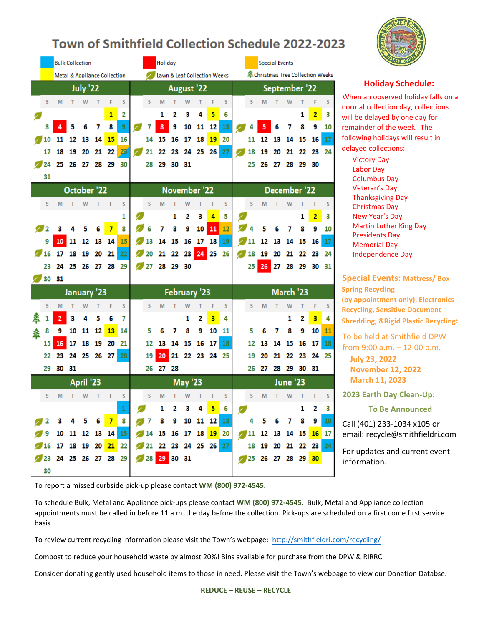## Town of Smithfield Collection Schedule 2022-2023

|   |            |                      |    | <b>Bulk Collection</b> |    |                                         |    |    | Holiday              |          |                   |                |                              |                 |   |    | <b>Special Events</b>             |    |               |          |                         |          |
|---|------------|----------------------|----|------------------------|----|-----------------------------------------|----|----|----------------------|----------|-------------------|----------------|------------------------------|-----------------|---|----|-----------------------------------|----|---------------|----------|-------------------------|----------|
|   |            |                      |    |                        |    | <b>Metal &amp; Appliance Collection</b> |    |    |                      |          |                   |                | Lawn & Leaf Collection Weeks |                 |   |    | 盒 Christmas Tree Collection Weeks |    |               |          |                         |          |
|   |            |                      |    | July '22               |    |                                         |    |    |                      |          | <b>August '22</b> |                |                              |                 |   |    |                                   |    | September '22 |          |                         |          |
|   | S          | M                    | т  | W                      | т  | F                                       | S  | S  | M                    |          | W                 | T              | F                            | S               |   | S  | M                                 | т  | W             | т        | F                       | S        |
| 0 |            |                      |    |                        |    | $\mathbf{1}$                            | 2  |    | 1                    | 2        | 3                 | 4              | 5                            | 6               |   |    |                                   |    |               | 1        | 2                       | з        |
|   | 3          |                      | 5  | 6                      | 7  | 8                                       | 9  |    | 8                    | 9        | 10                | 11             | 12                           | 13              |   |    |                                   |    | 7             | 8        | 9                       | 10       |
|   | 10         | 11                   | 12 | 13                     | 14 | 15                                      | 16 | 14 | 15                   | 16       | 17                | 18             | 19                           | 20              |   | 11 | 12                                | 13 | 14            | 15       | 16                      | 17       |
|   | 17         | 18                   | 19 | 20                     | 21 | 22                                      | 23 | 21 | 22                   | 23       | 24                |                | 25 26                        | 27              |   | 18 | 19                                | 20 | 21            | 22       | 23                      | 24       |
|   | 224        | 25                   |    | 26 27 28               |    | 29                                      | 30 | 28 | 29                   | 30       | 31                |                |                              |                 |   | 25 | 26                                | 27 | 28            | -29      | 30                      |          |
|   | 31         |                      |    |                        |    |                                         |    |    |                      |          |                   |                |                              |                 |   |    |                                   |    |               |          |                         |          |
|   |            |                      |    | October <sup>'22</sup> |    |                                         |    |    |                      |          | November '22      |                |                              |                 |   |    |                                   |    | December '22  |          |                         |          |
|   | S          | M                    | т  | W                      | т  | F                                       | S  | S  | M                    | т        | W                 | т              | F                            | S               |   | S  | M                                 | т  | W             | т        | F                       | s        |
|   |            |                      |    |                        |    |                                         | 1  |    |                      | 1        | 2                 | 3              | $\overline{4}$               | 5               |   |    |                                   |    |               | 1        | $\overline{\mathbf{2}}$ | з        |
|   | 2          |                      |    |                        | 6  | 7                                       | 8  |    | 7                    | 8        | 9                 | 10             | $11\,$                       | 12              |   |    |                                   |    |               | 8        | 9                       | 10       |
|   | 9          | 10                   | 11 | 12                     | 13 | 14                                      | 15 | 13 | 14                   | 15       | 16                | 17             | 18                           | 19              |   | 11 | 12                                | 13 | 14            | 15       | 16                      | 17       |
|   | 16         | 17                   | 18 | 19                     | 20 | 21                                      | 22 | 20 | 21                   | 22       |                   | 23 24 25       |                              | 26              |   | 18 | 19                                | 20 | 21            | 22       | 23                      | 24       |
|   | 23         | 24                   | 25 |                        |    | 26 27 28 29                             |    | 27 |                      | 28 29 30 |                   |                |                              |                 |   | 25 | 26                                | 27 |               | 28 29 30 |                         | 31       |
|   |            | 30 31                |    |                        |    |                                         |    |    |                      |          |                   |                |                              |                 |   |    |                                   |    |               |          |                         |          |
|   |            |                      |    | January '23            |    |                                         |    |    |                      |          | February '23      |                |                              |                 |   |    |                                   |    | March '23     |          |                         |          |
|   | s          | M                    | т  | W                      | T  | F                                       | S  | S  | M                    |          | W                 | т              | F                            | S               |   | s  | M                                 | т  | W             | T        | F                       | s        |
|   |            | 2                    | 3  | 4                      | 5  | 6                                       | 7  |    |                      |          | 1                 | 2              | 3                            | 4               |   |    |                                   |    | 1             | 2        | 3                       | 4        |
|   | 8          | 9                    | 10 | 11                     | 12 | 13                                      | 14 | 5  |                      | 7        | 8                 | 9              | 10                           | 11              |   | 5  |                                   | 7  | 8             | 9        | 10                      | 11       |
| 叁 |            | 16                   | 17 | 18                     | 19 | 20                                      | 21 | 12 | 13                   | 14       | 15                | 16             | 17                           | 18              |   |    |                                   | 14 | 15            | 16       |                         |          |
|   | 15         | 23                   |    |                        |    |                                         |    |    |                      |          |                   |                |                              |                 |   | 12 | 20                                |    | 22            |          | 17<br>24                | 18<br>25 |
|   | 22         |                      | 24 | 25                     | 26 | 27                                      | 28 | 19 | 20<br>- 27           | 21       | 22                | 23             | 24 25                        |                 |   | 19 |                                   | 21 |               | 23       |                         |          |
|   | 29         | 30                   | 31 |                        |    |                                         |    | 26 |                      | 28       |                   |                |                              |                 |   | 26 | 27                                | 28 | 29            | 30       | 31                      |          |
|   |            |                      |    | April '23              |    |                                         |    |    |                      |          | <b>May '23</b>    |                |                              |                 |   |    |                                   |    | June '23      |          |                         |          |
|   | S          | M                    | т  | W                      | т  | F                                       | S  | S  | M                    |          | W                 |                | F                            | S               |   | S  | M                                 | т  | W             |          | F                       | S        |
|   |            |                      |    |                        |    |                                         |    |    | 1                    | 2        | - 3               | $\overline{4}$ | 56                           |                 | Z |    |                                   |    |               | 1        |                         |          |
|   |            |                      |    |                        |    |                                         |    |    |                      |          |                   |                |                              |                 |   |    |                                   |    |               |          |                         |          |
|   | $\sqrt{2}$ | $3 \quad 4$          |    |                        |    | 5 6 <mark>7</mark>                      | 8  |    | 7 8 9 10 11 12       |          |                   |                |                              | 13 <sub>1</sub> |   | 4  | 5.                                | 6  | 7             | 8        | 9                       | 10       |
|   |            | 9 10 11 12 13 14 15  |    |                        |    |                                         |    |    | 14 15 16 17 18 19 20 |          |                   |                |                              |                 |   |    | 11 12 13 14 15 16 17              |    |               |          |                         |          |
|   |            | 16 17 18 19 20 21 22 |    |                        |    |                                         |    |    | 21 22 23 24 25 26 27 |          |                   |                |                              |                 |   |    | 18 19 20 21 22 23                 |    |               |          |                         | 24       |
|   | 30         | 23 24 25 26 27 28 29 |    |                        |    |                                         |    |    | 28 29 30 31          |          |                   |                |                              |                 |   |    | 25 26 27 28 29 30                 |    |               |          |                         |          |

## **Holiday Schedule:**

When an observed holiday falls on a normal collection day, collections will be delayed by one day for remainder of the week. The following holidays will result in delayed collections:

Victory Day Victory Day Labor Day Labor Day Columbus Day Columbus Day Veteran's Day Veteran's Day Thanksgiving Day Thanksgiving Day Christmas Da**y**  Christmas Day New Year's Day New Year's Day Martin Luther King Presidents Day Memorial Day Independence Day Independence Da Martin Luther King Day

## **Special Events: Mattress/ Box**

**Spring Recycling (by appointment only), Electronics Recycling, Sensitive Document Shredding, &Rigid Plastic Recycling:**

To be held at Smithfield DPW from 9:00 a.m. – 12:00 p.m.

**July 23, 2022 November 12, 2022 March 11, 2023**

**2023 Earth Day Clean-Up:**

**To Be Announced** 

Call (401) 233-1034 x105 or email: recycle@smithfieldri.com

For u[pdates and current event](mailto:recycle@smithfieldri.com)  information.

To report a missed curbside pick-up please contact **WM (800) 972-4545.**

To schedule Bulk, Metal and Appliance pick-ups please contact **WM (800) 972-4545.** Bulk, Metal and Appliance collection appointments must be called in before 11 a.m. the day before the collection. Pick-ups are scheduled on a first come first service basis.

To review current recycling information please visit the Town's webpage: http://smithfieldri.com/recycling/

Compost to reduce your household waste by almost 20%! Bins available f[or purchase from the DPW & RIRRC.](http://smithfieldri.com/recycling/)

Consider donating gently used household items to those in need. Please visit the Town's webpage to view our Donation Databse.